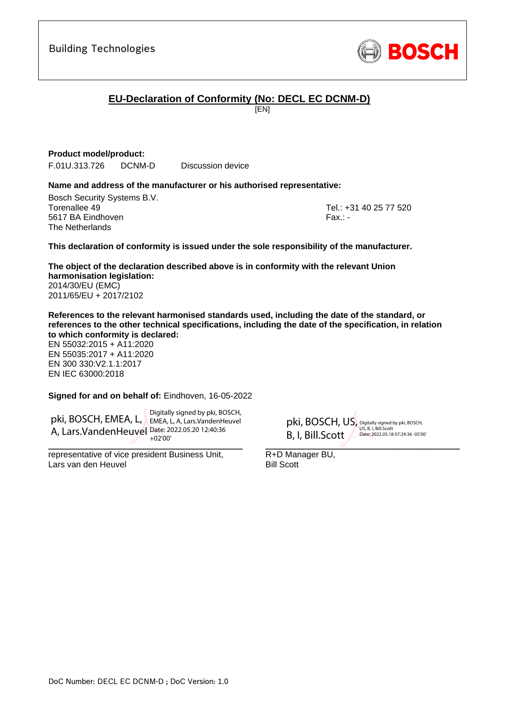DoC Number: DECL EC DCNM-D ; DoC Version: 1.0

Building Technologies

# **EU-Declaration of Conformity (No: DECL EC DCNM-D)**

[EN]

### **Product model/product:**

F.01U.313.726 DCNM-D Discussion device

### **Name and address of the manufacturer or his authorised representative:**

Bosch Security Systems B.V. Torenallee 49 Tel.: +31 40 25 77 520 5617 BA Eindhoven Fax.: - Fax.: - Fax.: - Fax.: - Fax.: - Fax.: -The Netherlands

<span id="page-0-1"></span><span id="page-0-0"></span>

Digitally signed by pki, BOSCH, US, B, I, Bill.Scott Date: 2022.05.18 07:24:36 -05'00'

#### **This declaration of conformity is issued under the sole responsibility of the manufacturer.**

<span id="page-0-2"></span>**The object of the declaration described above is in conformity with the relevant Union harmonisation legislation:** 2014/30/EU (EMC) 2011/65/EU + 2017/2102

**References to the relevant harmonised standards used, including the date of the standard, or references to the other technical specifications, including the date of the specification, in relation to which conformity is declared:**

EN 55032:2015 + A11:2020 EN 55035:2017 + A11:2020 EN 300 330:V2.1.1:2017 EN IEC 63000:2018

#### <span id="page-0-9"></span><span id="page-0-8"></span><span id="page-0-7"></span><span id="page-0-6"></span><span id="page-0-5"></span><span id="page-0-4"></span><span id="page-0-3"></span>**Signed for and on behalf of:** Eindhoven, 16-05-2022

pki, BOSCH, EMEA, L, EMEA, L, A, Lars.VandenHeuvel A, Lars. Vanden Heuvel Date: 2022.05.20 12:40:36 Digitally signed by pki, BOSCH, +02'00'

 $\overline{\phantom{a}}$ 

representative of vice president Business Unit, Lars van den Heuvel

 $\overline{a}$ R+D Manager BU, Bill Scott

pki, BOSCH, US, B, I, Bill.Scott

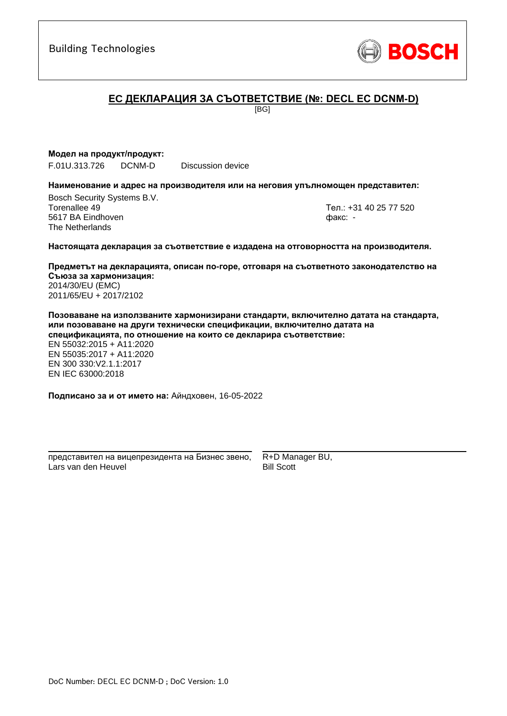

# **ЕC ДЕКЛАРАЦИЯ ЗА СЪОТВЕТСТВИЕ (№: DECL EC DCNM-D)**

[BG]

### **Модел на продукт/продукт:**

F.01U.313.726 DCNM-D Discussion device

#### **Наименование и адрес на производителя или на неговия упълномощен представител:**

Bosch Security Systems B.V. Torenallee 49 Тел.: [+31 40 25 77 520](#page-0-0) 5617 BA Eindhoven факс: [-](#page-0-1) The Netherlands

\_\_\_\_\_\_\_\_\_\_\_\_\_\_\_\_\_\_\_\_\_\_\_\_\_\_\_\_\_\_\_\_\_\_\_\_\_\_\_\_\_\_\_

#### **Настоящата декларация за съответствие е издадена на отговорността на производителя.**

**Предметът на декларацията, описан по-горе, отговаря на съответното законодателство на Съюза за хармонизация[:](#page-0-2)** [2014/30/EU \(EMC\)](#page-0-2) [2011/65/EU + 2017/2102](#page-0-2)

**Позоваване на използваните хармонизирани стандарти, включително датата на стандарта, или позоваване на други технически спецификации, включително датата на спецификацията, по отношение на които се декларира съответствие:**

EN 55032:2015 + A11:2020 EN 55035:2017 + A11:2020 EN 300 330:V2.1.1:2017 [E](#page-0-4)[N](#page-0-5) [I](#page-0-6)[E](#page-0-7)C 63000:201[8](#page-0-3)

**Подписано за и от името на:** Айндховен, 16-05-2022

\_\_\_\_\_\_\_\_\_\_\_\_\_\_\_\_\_\_\_\_\_\_\_\_\_\_\_\_\_\_\_\_\_\_\_\_\_\_\_\_\_\_\_ представител на вицепрезидента на Бизнес звено, Lars van den Heuvel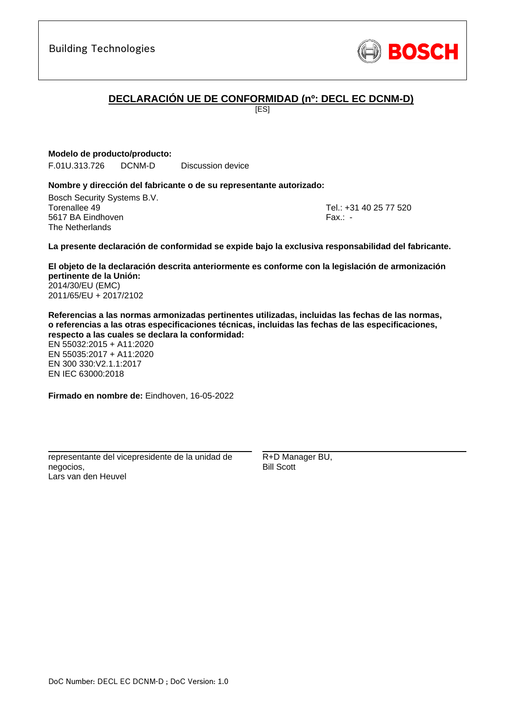# **DECLARACIÓN UE DE CONFORMIDAD (nº: DECL EC DCNM-D)**

[ES]

**Modelo de producto/producto:**

F.01U.313.726 DCNM-D Discussion device

### **Nombre y dirección del fabricante o de su representante autorizado:**

Bosch Security Systems B.V. Torenallee 49 Tel.: [+31 40 25 77 520](#page-0-0) 5617 BA Eindhoven Fax.: [-](#page-0-1) The Netherlands

\_\_\_\_\_\_\_\_\_\_\_\_\_\_\_\_\_\_\_\_\_\_\_\_\_\_\_\_\_\_\_\_\_\_\_\_\_\_\_\_\_\_\_

**La presente declaración de conformidad se expide bajo la exclusiva responsabilidad del fabricante.**

**El objeto de la declaración descrita anteriormente es conforme con la legislación de armonización pertinente de la Unión[:](#page-0-2)** [2014/30/EU \(EMC\)](#page-0-2) [2011/65/EU + 2017/2102](#page-0-2)

**Referencias a las normas armonizadas pertinentes utilizadas, incluidas las fechas de las normas, o referencias a las otras especificaciones técnicas, incluidas las fechas de las especificaciones, respecto a las cuales se declara la conformidad:**

EN 55032:2015 + A11:2020 EN 55035:2017 + A11:2020 EN 300 330:V2.1.1:2017 [E](#page-0-4)[N](#page-0-5) [I](#page-0-6)[E](#page-0-7)C 63000:201[8](#page-0-3)

**Firmado en nombre de:** Eindhoven, 16-05-2022

representante del vicepresidente de la unidad de negocios, Lars van den Heuvel

\_\_\_\_\_\_\_\_\_\_\_\_\_\_\_\_\_\_\_\_\_\_\_\_\_\_\_\_\_\_\_\_\_\_\_\_\_\_\_\_\_\_\_

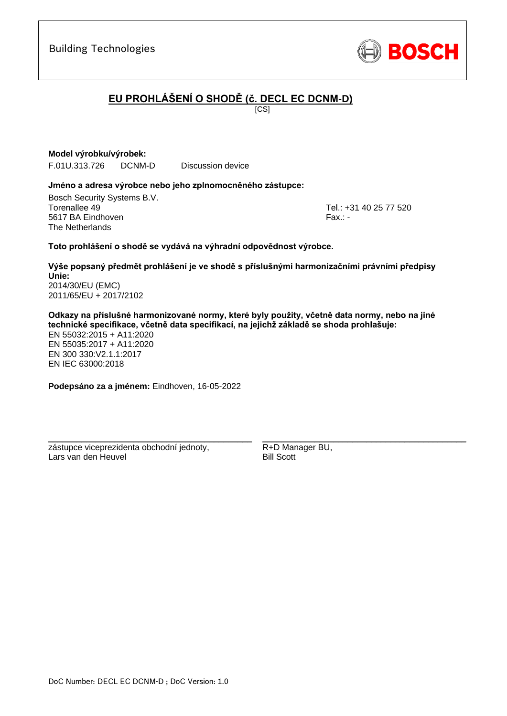Lars van den Heuvel

DoC Number: DECL EC DCNM-D ; DoC Version: 1.0

### Building Technologies

# **EU PROHLÁŠENÍ O SHODĚ (č. DECL EC DCNM-D)**

 $\overline{IC}$ SI

### **Model výrobku/výrobek:**

F.01U.313.726 DCNM-D Discussion device

### **Jméno a adresa výrobce nebo jeho zplnomocněného zástupce:**

Bosch Security Systems B.V. Torenallee 49 Tel.: [+31 40 25 77 520](#page-0-0) 5617 BA Eindhoven Fax.: [-](#page-0-1) Fax.: - Fax.: - Fax.: - Fax.: - Fax.: -The Netherlands

\_\_\_\_\_\_\_\_\_\_\_\_\_\_\_\_\_\_\_\_\_\_\_\_\_\_\_\_\_\_\_\_\_\_\_\_\_\_\_\_\_\_\_

### **Toto prohlášení o shodě se vydává na výhradní odpovědnost výrobce.**

**Výše popsaný předmět prohlášení je ve shodě s příslušnými harmonizačními právními předpisy Unie[:](#page-0-2)** [2014/30/EU \(EMC\)](#page-0-2) [2011/65/EU + 2017/2102](#page-0-2)

**Odkazy na příslušné harmonizované normy, které byly použity, včetně data normy, nebo na jiné technické specifikace, včetně data specifikací, na jejichž základě se shoda prohlašuje:** EN 55032:2015 + A11:2020 EN 55035:2017 + A11:2020

EN 300 330:V2.1.1:[2](#page-0-8)[01](#page-0-9)7 EN IEC 63000:201[8](#page-0-3)

**Podepsáno za a jménem:** Eindhoven, 16-05-2022

\_\_\_\_\_\_\_\_\_\_\_\_\_\_\_\_\_\_\_\_\_\_\_\_\_\_\_\_\_\_\_\_\_\_\_\_\_\_\_\_\_\_\_

zástupce viceprezidenta obchodní jednoty,

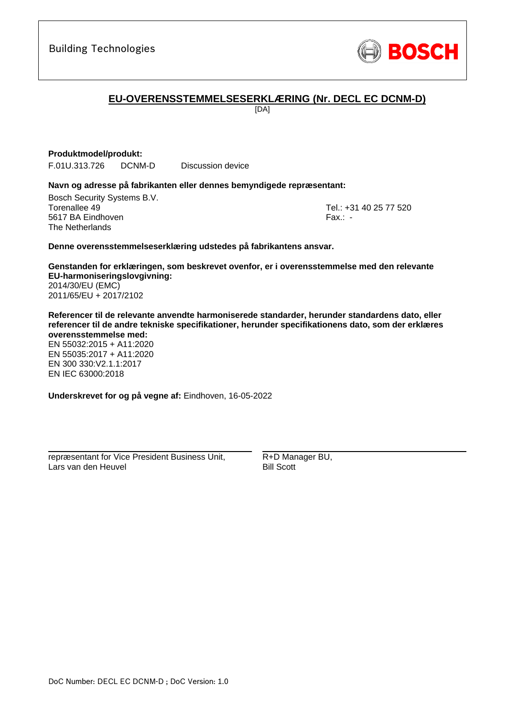

## **EU-OVERENSSTEMMELSESERKLÆRING (Nr. DECL EC DCNM-D)**

[DA]

### **Produktmodel/produkt:**

F.01U.313.726 DCNM-D Discussion device

#### **Navn og adresse på fabrikanten eller dennes bemyndigede repræsentant:**

Bosch Security Systems B.V. Torenallee 49 Tel.: [+31 40 25 77 520](#page-0-0) 5617 BA Eindhoven Fax.: [-](#page-0-1) The Netherlands

\_\_\_\_\_\_\_\_\_\_\_\_\_\_\_\_\_\_\_\_\_\_\_\_\_\_\_\_\_\_\_\_\_\_\_\_\_\_\_\_\_\_\_

#### **Denne overensstemmelseserklæring udstedes på fabrikantens ansvar.**

**Genstanden for erklæringen, som beskrevet ovenfor, er i overensstemmelse med den relevante EU-harmoniseringslovgivning[:](#page-0-2)** [2014/30/EU \(EMC\)](#page-0-2) [2011/65/EU + 2017/2102](#page-0-2)

**Referencer til de relevante anvendte harmoniserede standarder, herunder standardens dato, eller referencer til de andre tekniske specifikationer, herunder specifikationens dato, som der erklæres overensstemmelse med:**

EN 55032:2015 + A11:2020 EN 55035:2017 + A11:2020 EN 300 330:V2.1.1:2017 [E](#page-0-4)[N](#page-0-5) [I](#page-0-6)[E](#page-0-7)C 63000:201[8](#page-0-3)

**Underskrevet for og på vegne af:** Eindhoven, 16-05-2022

repræsentant for Vice President Business Unit, Lars van den Heuvel

\_\_\_\_\_\_\_\_\_\_\_\_\_\_\_\_\_\_\_\_\_\_\_\_\_\_\_\_\_\_\_\_\_\_\_\_\_\_\_\_\_\_\_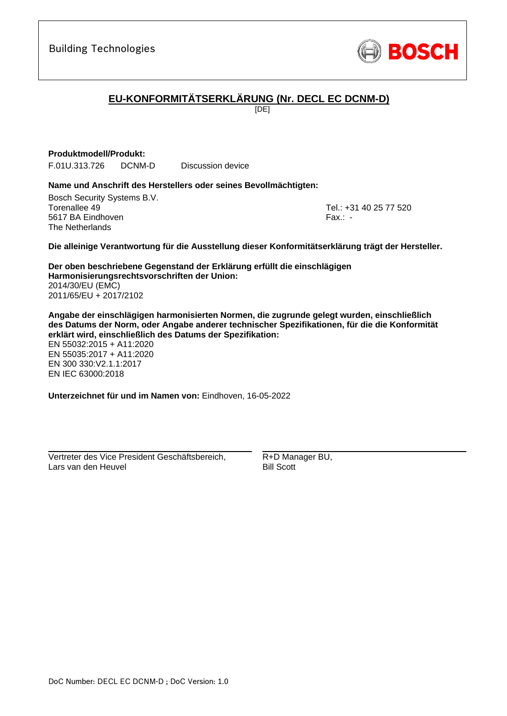

# **EU-KONFORMITÄTSERKLÄRUNG (Nr. DECL EC DCNM-D)**

[DE]

### **Produktmodell/Produkt:**

F.01U.313.726 DCNM-D Discussion device

### **Name und Anschrift des Herstellers oder seines Bevollmächtigten:**

Bosch Security Systems B.V. Torenallee 49 Tel.: [+31 40 25 77 520](#page-0-0) 5617 BA Eindhoven Fax.: [-](#page-0-1) The Netherlands

\_\_\_\_\_\_\_\_\_\_\_\_\_\_\_\_\_\_\_\_\_\_\_\_\_\_\_\_\_\_\_\_\_\_\_\_\_\_\_\_\_\_\_

### **Die alleinige Verantwortung für die Ausstellung dieser Konformitätserklärung trägt der Hersteller.**

**Der oben beschriebene Gegenstand der Erklärung erfüllt die einschlägigen Harmonisierungsrechtsvorschriften der Union[:](#page-0-2)** [2014/30/EU \(EMC\)](#page-0-2) [2011/65/EU + 2017/2102](#page-0-2)

**Angabe der einschlägigen harmonisierten Normen, die zugrunde gelegt wurden, einschließlich des Datums der Norm, oder Angabe anderer technischer Spezifikationen, für die die Konformität erklärt wird, einschließlich des Datums der Spezifikation:**

EN 55032:2015 + A11:2020 EN 55035:2017 + A11:2020 EN 300 330:V2.1.1:2017 [E](#page-0-4)[N](#page-0-5) [I](#page-0-6)[E](#page-0-7)C 63000:201[8](#page-0-3)

**Unterzeichnet für und im Namen von:** Eindhoven, 16-05-2022

Vertreter des Vice President Geschäftsbereich, Lars van den Heuvel

\_\_\_\_\_\_\_\_\_\_\_\_\_\_\_\_\_\_\_\_\_\_\_\_\_\_\_\_\_\_\_\_\_\_\_\_\_\_\_\_\_\_\_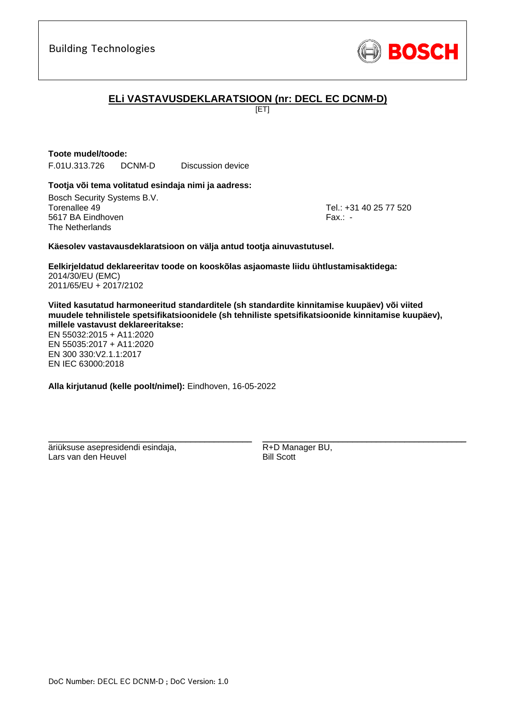

# **ELi VASTAVUSDEKLARATSIOON (nr: DECL EC DCNM-D)**

[ET]

# **Toote mudel/toode:**

F.01U.313.726 DCNM-D Discussion device

### **Tootja või tema volitatud esindaja nimi ja aadress:**

Bosch Security Systems B.V. Torenallee 49 Tel.: [+31 40 25 77 520](#page-0-0) 5617 BA Eindhoven Fax.: [-](#page-0-1) The Netherlands

\_\_\_\_\_\_\_\_\_\_\_\_\_\_\_\_\_\_\_\_\_\_\_\_\_\_\_\_\_\_\_\_\_\_\_\_\_\_\_\_\_\_\_

### **Käesolev vastavausdeklaratsioon on välja antud tootja ainuvastutusel.**

**Eelkirjeldatud deklareeritav toode on kooskõlas asjaomaste liidu ühtlustamisaktidega[:](#page-0-2)** [2014/30/EU \(EMC\)](#page-0-2) [2011/65/EU + 2017/2102](#page-0-2)

**Viited kasutatud harmoneeritud standarditele (sh standardite kinnitamise kuupäev) või viited muudele tehnilistele spetsifikatsioonidele (sh tehniliste spetsifikatsioonide kinnitamise kuupäev), millele vastavust deklareeritakse:**

EN 55032:2015 + A11:2020 EN 55035:2017 + A11:2020 EN 300 330:V2.1.1:[2](#page-0-8)[01](#page-0-9)7 EN IEC 63000:201[8](#page-0-3)

**Alla kirjutanud (kelle poolt/nimel):** Eindhoven, 16-05-2022

\_\_\_\_\_\_\_\_\_\_\_\_\_\_\_\_\_\_\_\_\_\_\_\_\_\_\_\_\_\_\_\_\_\_\_\_\_\_\_\_\_\_\_

äriüksuse asepresidendi esindaja, Lars van den Heuvel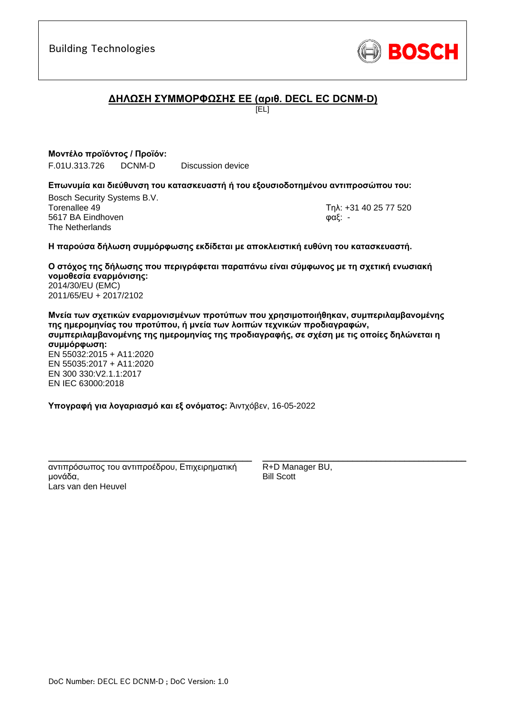

# **ΔΗΛΩΣΗ ΣΥΜΜΟΡΦΩΣΗΣ ΕΕ (αριθ. DECL EC DCNM-D)**

[EL]

**Μοντέλο προϊόντος / Προϊόν:** F.01U.313.726 DCNM-D Discussion device

### **Επωνυμία και διεύθυνση του κατασκευαστή ή του εξουσιοδοτημένου αντιπροσώπου του:**

Bosch Security Systems B.V. Torenallee 49 Τηλ: [+31 40 25 77 520](#page-0-0) 5617 BA Eindhoven φαξ: [-](#page-0-1) The Netherlands

\_\_\_\_\_\_\_\_\_\_\_\_\_\_\_\_\_\_\_\_\_\_\_\_\_\_\_\_\_\_\_\_\_\_\_\_\_\_\_\_\_\_\_

### **Η παρούσα δήλωση συμμόρφωσης εκδίδεται με αποκλειστική ευθύνη του κατασκευαστή.**

**Ο στόχος της δήλωσης που περιγράφεται παραπάνω είναι σύμφωνος με τη σχετική ενωσιακή νομοθεσία εναρμόνισης[:](#page-0-2)** [2014/30/EU \(EMC\)](#page-0-2) [2011/65/EU + 2017/2102](#page-0-2)

**Μνεία των σχετικών εναρμονισμένων προτύπων που χρησιμοποιήθηκαν, συμπεριλαμβανομένης της ημερομηνίας του προτύπου, ή μνεία των λοιπών τεχνικών προδιαγραφών, συμπεριλαμβανομένης της ημερομηνίας της προδιαγραφής, σε σχέση με τις οποίες δηλώνεται η συμμόρφωση:** EN 55032:2015 + A11:2020 EN 55035:2017 + A11:2020 EN 300 330:V2.1.1:[2](#page-0-8)[01](#page-0-9)7 EN IEC 63000:201[8](#page-0-3)

**Υπογραφή για λογαριασμό και εξ ονόματος:** Άιντχόβεν, 16-05-2022

\_\_\_\_\_\_\_\_\_\_\_\_\_\_\_\_\_\_\_\_\_\_\_\_\_\_\_\_\_\_\_\_\_\_\_\_\_\_\_\_\_\_\_ αντιπρόσωπος του αντιπροέδρου, Επιχειρηματική μονάδα, Lars van den Heuvel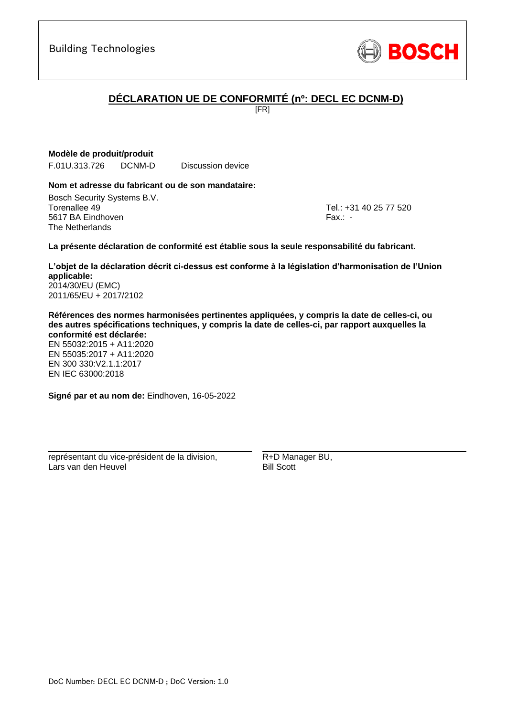

# **DÉCLARATION UE DE CONFORMITÉ (nº: DECL EC DCNM-D)**

[FR]

### **Modèle de produit/produit**

F.01U.313.726 DCNM-D Discussion device

### **Nom et adresse du fabricant ou de son mandataire:**

Bosch Security Systems B.V. Torenallee 49 Tel.: [+31 40 25 77 520](#page-0-0) 5617 BA Eindhoven Fax.: [-](#page-0-1) The Netherlands

\_\_\_\_\_\_\_\_\_\_\_\_\_\_\_\_\_\_\_\_\_\_\_\_\_\_\_\_\_\_\_\_\_\_\_\_\_\_\_\_\_\_\_

### **La présente déclaration de conformité est établie sous la seule responsabilité du fabricant.**

**L'objet de la déclaration décrit ci-dessus est conforme à la législation d'harmonisation de l'Union applicable[:](#page-0-2)** [2014/30/EU \(EMC\)](#page-0-2)

[2011/65/EU + 2017/2102](#page-0-2)

**Références des normes harmonisées pertinentes appliquées, y compris la date de celles-ci, ou des autres spécifications techniques, y compris la date de celles-ci, par rapport auxquelles la conformité est déclarée:**

EN 55032:2015 + A11:2020 EN 55035:2017 + A11:2020 EN 300 330:V2.1.1:2017 [E](#page-0-4)[N](#page-0-5) [I](#page-0-6)[E](#page-0-7)C 63000:201[8](#page-0-3)

**Signé par et au nom de:** Eindhoven, 16-05-2022

\_\_\_\_\_\_\_\_\_\_\_\_\_\_\_\_\_\_\_\_\_\_\_\_\_\_\_\_\_\_\_\_\_\_\_\_\_\_\_\_\_\_\_

représentant du vice-président de la division, Lars van den Heuvel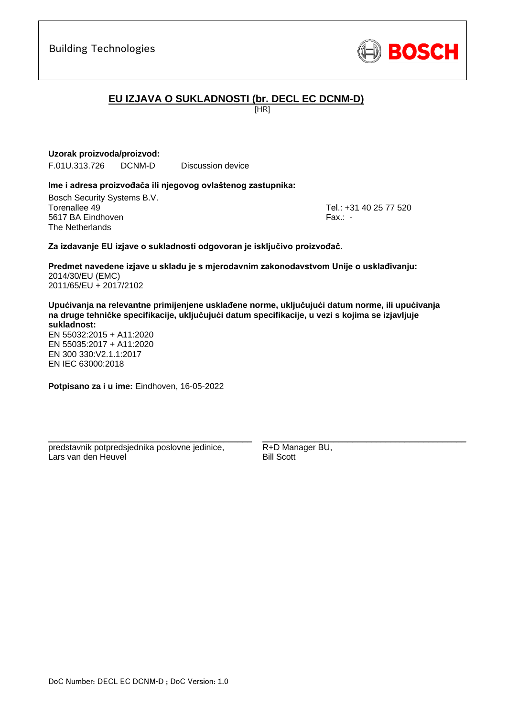

# **EU IZJAVA O SUKLADNOSTI (br. DECL EC DCNM-D)**

[HR]

### **Uzorak proizvoda/proizvod:**

F.01U.313.726 DCNM-D Discussion device

### **Ime i adresa proizvođača ili njegovog ovlaštenog zastupnika:**

Bosch Security Systems B.V. Torenallee 49 Tel.: [+31 40 25 77 520](#page-0-0) 5617 BA Eindhoven Fax.: [-](#page-0-1) The Netherlands

\_\_\_\_\_\_\_\_\_\_\_\_\_\_\_\_\_\_\_\_\_\_\_\_\_\_\_\_\_\_\_\_\_\_\_\_\_\_\_\_\_\_\_

### **Za izdavanje EU izjave o sukladnosti odgovoran je isključivo proizvođač.**

**Predmet navedene izjave u skladu je s mjerodavnim zakonodavstvom Unije o usklađivanju[:](#page-0-2)** [2014/30/EU \(EMC\)](#page-0-2) [2011/65/EU + 2017/2102](#page-0-2)

**Upućivanja na relevantne primijenjene usklađene norme, uključujući datum norme, ili upućivanja na druge tehničke specifikacije, uključujući datum specifikacije, u vezi s kojima se izjavljuje sukladnost:**

EN 55032:2015 + A11:2020 EN 55035:2017 + A11:2020 EN 300 330:V2.1.1:[2](#page-0-8)[01](#page-0-9)7 EN IEC 63000:201[8](#page-0-3)

**Potpisano za i u ime:** Eindhoven, 16-05-2022

predstavnik potpredsjednika poslovne jedinice, Lars van den Heuvel

\_\_\_\_\_\_\_\_\_\_\_\_\_\_\_\_\_\_\_\_\_\_\_\_\_\_\_\_\_\_\_\_\_\_\_\_\_\_\_\_\_\_\_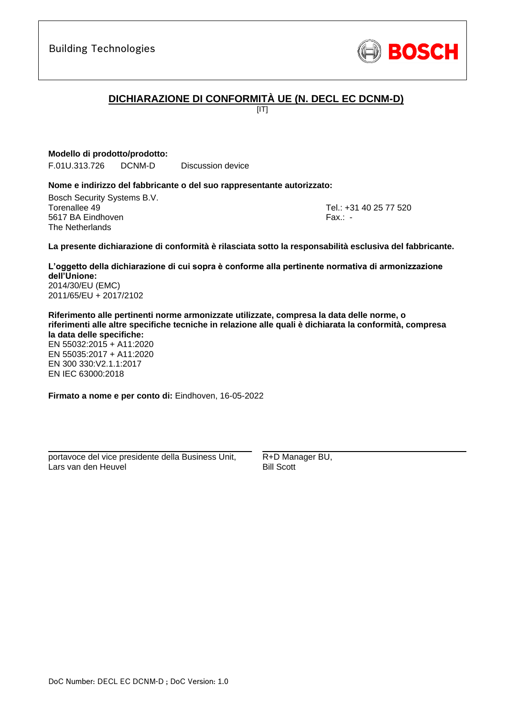

# **DICHIARAZIONE DI CONFORMITÀ UE (N. DECL EC DCNM-D)**

 $[IT]$ 

**Modello di prodotto/prodotto:**

F.01U.313.726 DCNM-D Discussion device

### **Nome e indirizzo del fabbricante o del suo rappresentante autorizzato:**

Bosch Security Systems B.V. Torenallee 49 Tel.: [+31 40 25 77 520](#page-0-0) 5617 BA Eindhoven Fax.: [-](#page-0-1) The Netherlands

\_\_\_\_\_\_\_\_\_\_\_\_\_\_\_\_\_\_\_\_\_\_\_\_\_\_\_\_\_\_\_\_\_\_\_\_\_\_\_\_\_\_\_

### **La presente dichiarazione di conformità è rilasciata sotto la responsabilità esclusiva del fabbricante.**

**L'oggetto della dichiarazione di cui sopra è conforme alla pertinente normativa di armonizzazione dell'Unione[:](#page-0-2)** [2014/30/EU \(EMC\)](#page-0-2)

[2011/65/EU + 2017/2102](#page-0-2)

**Riferimento alle pertinenti norme armonizzate utilizzate, compresa la data delle norme, o riferimenti alle altre specifiche tecniche in relazione alle quali è dichiarata la conformità, compresa la data delle specifiche:**

EN 55032:2015 + A11:2020 EN 55035:2017 + A11:2020 EN 300 330:V2.1.1:2017 [E](#page-0-4)[N](#page-0-5) [I](#page-0-6)[E](#page-0-7)C 63000:201[8](#page-0-3)

**Firmato a nome e per conto di:** Eindhoven, 16-05-2022

portavoce del vice presidente della Business Unit, Lars van den Heuvel

\_\_\_\_\_\_\_\_\_\_\_\_\_\_\_\_\_\_\_\_\_\_\_\_\_\_\_\_\_\_\_\_\_\_\_\_\_\_\_\_\_\_\_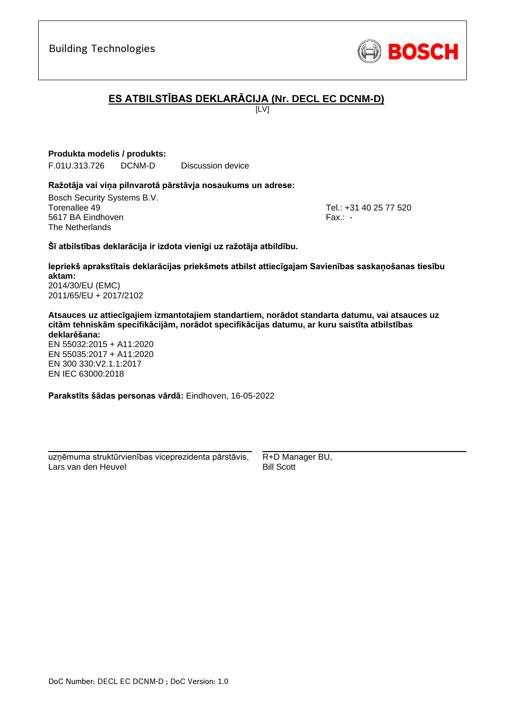# **ES ATBILSTĪBAS DEKLARĀCIJA (Nr. DECL EC DCNM-D)**

 $[IV]$ 

**Produkta modelis / produkts:**

F.01U.313.726 DCNM-D Discussion device

### **Ražotāja vai viņa pilnvarotā pārstāvja nosaukums un adrese:**

Bosch Security Systems B.V. Torenallee 49 Tel.: [+31 40 25 77 520](#page-0-0) 5617 BA Eindhoven Fax.: [-](#page-0-1) The Netherlands

\_\_\_\_\_\_\_\_\_\_\_\_\_\_\_\_\_\_\_\_\_\_\_\_\_\_\_\_\_\_\_\_\_\_\_\_\_\_\_\_\_\_\_

### **Šī atbilstības deklarācija ir izdota vienīgi uz ražotāja atbildību.**

**Iepriekš aprakstītais deklarācijas priekšmets atbilst attiecīgajam Savienības saskaņošanas tiesību aktam[:](#page-0-2)** [2014/30/EU \(EMC\)](#page-0-2)

[2011/65/EU + 2017/2102](#page-0-2)

**Atsauces uz attiecīgajiem izmantotajiem standartiem, norādot standarta datumu, vai atsauces uz citām tehniskām specifikācijām, norādot specifikācijas datumu, ar kuru saistīta atbilstības deklarēšana:**

EN 55032:2015 + A11:2020 EN 55035:2017 + A11:2020 EN 300 330:V2.1.1:2017 [E](#page-0-4)[N](#page-0-5) [I](#page-0-6)[E](#page-0-7)C 63000:201[8](#page-0-3)

**Parakstīts šādas personas vārdā:** Eindhoven, 16-05-2022

\_\_\_\_\_\_\_\_\_\_\_\_\_\_\_\_\_\_\_\_\_\_\_\_\_\_\_\_\_\_\_\_\_\_\_\_\_\_\_\_\_\_\_ uzņēmuma struktūrvienības viceprezidenta pārstāvis, Lars van den Heuvel

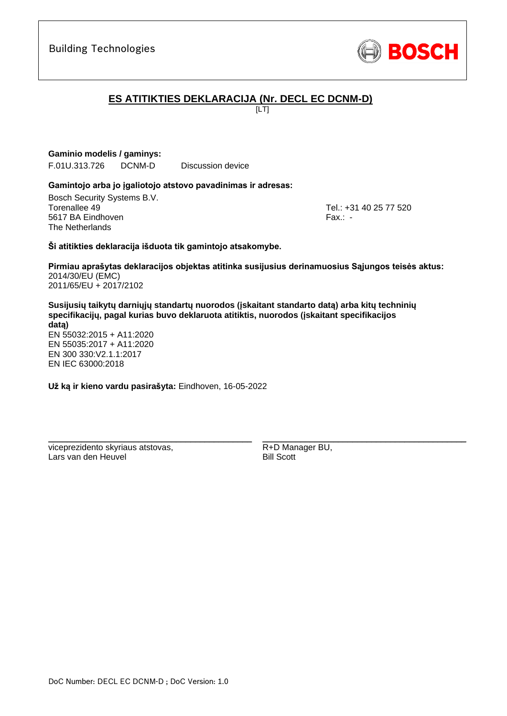

# **ES ATITIKTIES DEKLARACIJA (Nr. DECL EC DCNM-D)**

[LT]

**Gaminio modelis / gaminys:** 

F.01U.313.726 DCNM-D Discussion device

### **Gamintojo arba jo įgaliotojo atstovo pavadinimas ir adresas:**

Bosch Security Systems B.V. Torenallee 49 Tel.: [+31 40 25 77 520](#page-0-0) 5617 BA Eindhoven Fax.: [-](#page-0-1) The Netherlands

\_\_\_\_\_\_\_\_\_\_\_\_\_\_\_\_\_\_\_\_\_\_\_\_\_\_\_\_\_\_\_\_\_\_\_\_\_\_\_\_\_\_\_

### **Ši atitikties deklaracija išduota tik gamintojo atsakomybe.**

**Pirmiau aprašytas deklaracijos objektas atitinka susijusius derinamuosius Sąjungos teisės aktus[:](#page-0-2)** [2014/30/EU \(EMC\)](#page-0-2) [2011/65/EU + 2017/2102](#page-0-2)

**Susijusių taikytų darniųjų standartų nuorodos (įskaitant standarto datą) arba kitų techninių specifikacijų, pagal kurias buvo deklaruota atitiktis, nuorodos (įskaitant specifikacijos datą)** EN 55032:2015 + A11:2020 EN 55035:2017 + A11:2020 EN 300 330:V2.1.1:[2](#page-0-8)[01](#page-0-9)7

**Už ką ir kieno vardu pasirašyta:** Eindhoven, 16-05-2022

\_\_\_\_\_\_\_\_\_\_\_\_\_\_\_\_\_\_\_\_\_\_\_\_\_\_\_\_\_\_\_\_\_\_\_\_\_\_\_\_\_\_\_

viceprezidento skyriaus atstovas, Lars van den Heuvel

EN IEC 63000:201[8](#page-0-3)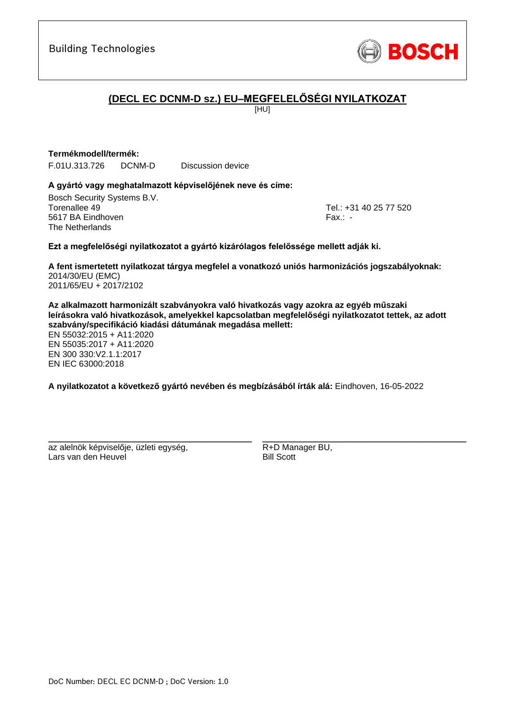

# **(DECL EC DCNM-D sz.) EU–MEGFELELŐSÉGI NYILATKOZAT**

[HU]

### **Termékmodell/termék:**

F.01U.313.726 DCNM-D Discussion device

### **A gyártó vagy meghatalmazott képviselőjének neve és címe:**

Bosch Security Systems B.V. Torenallee 49 Tel.: [+31 40 25 77 520](#page-0-0) 5617 BA Eindhoven Fax.: [-](#page-0-1) The Netherlands

\_\_\_\_\_\_\_\_\_\_\_\_\_\_\_\_\_\_\_\_\_\_\_\_\_\_\_\_\_\_\_\_\_\_\_\_\_\_\_\_\_\_\_

### **Ezt a megfelelőségi nyilatkozatot a gyártó kizárólagos felelőssége mellett adják ki.**

**A fent ismertetett nyilatkozat tárgya megfelel a vonatkozó uniós harmonizációs jogszabályoknak[:](#page-0-2)** [2014/30/EU \(EMC\)](#page-0-2) [2011/65/EU + 2017/2102](#page-0-2)

**Az alkalmazott harmonizált szabványokra való hivatkozás vagy azokra az egyéb műszaki leírásokra való hivatkozások, amelyekkel kapcsolatban megfelelőségi nyilatkozatot tettek, az adott szabvány/specifikáció kiadási dátumának megadása mellett:**

EN 55032:2015 + A11:2020 EN 55035:2017 + A11:2020 EN 300 330:V2.1.1:[2](#page-0-8)[01](#page-0-9)7 EN IEC 63000:201[8](#page-0-3)

**A nyilatkozatot a következő gyártó nevében és megbízásából írták alá:** Eindhoven, 16-05-2022

az alelnök képviselője, üzleti egység, Lars van den Heuvel

\_\_\_\_\_\_\_\_\_\_\_\_\_\_\_\_\_\_\_\_\_\_\_\_\_\_\_\_\_\_\_\_\_\_\_\_\_\_\_\_\_\_\_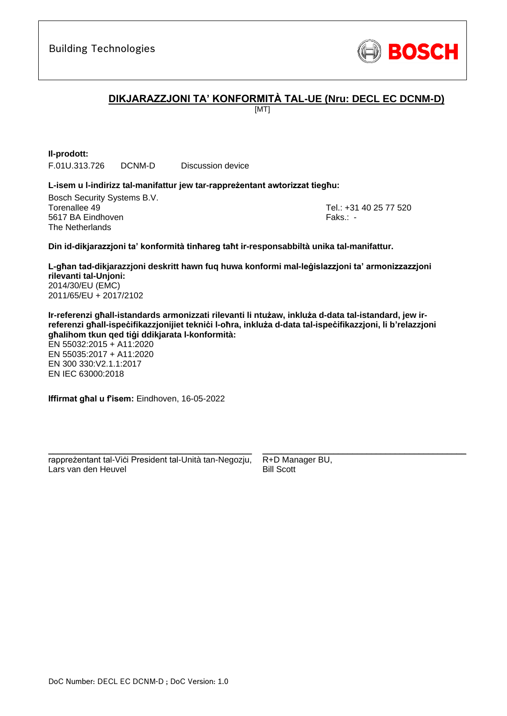

## **DIKJARAZZJONI TA' KONFORMITÀ TAL-UE (Nru: DECL EC DCNM-D)**

[MT]

**Il-prodott:** F.01U.313.726 DCNM-D Discussion device

#### **L-isem u l-indirizz tal-manifattur jew tar-rappreżentant awtorizzat tiegħu:**

Bosch Security Systems B.V. Torenallee 49 Tel.: [+31 40 25 77 520](#page-0-0) 5617 BA Eindhoven Faks.[: -](#page-0-1) Faks.: - Faks.: - Faks.: - Faks.: -The Netherlands

\_\_\_\_\_\_\_\_\_\_\_\_\_\_\_\_\_\_\_\_\_\_\_\_\_\_\_\_\_\_\_\_\_\_\_\_\_\_\_\_\_\_\_

#### **Din id-dikjarazzjoni ta' konformità tinħareg taħt ir-responsabbiltà unika tal-manifattur.**

**L-għan tad-dikjarazzjoni deskritt hawn fuq huwa konformi mal-leġislazzjoni ta' armonizzazzjoni rilevanti tal-Unjoni[:](#page-0-2)** [2014/30/EU \(EMC\)](#page-0-2) [2011/65/EU + 2017/2102](#page-0-2)

**Ir-referenzi għall-istandards armonizzati rilevanti li ntużaw, inkluża d-data tal-istandard, jew irreferenzi għall-ispeċifikazzjonijiet tekniċi l-oħra, inkluża d-data tal-ispeċifikazzjoni, li b'relazzjoni għalihom tkun qed tiġi ddikjarata l-konformità:**

EN 55032:2015 + A11:2020 EN 55035:2017 + A11:2020 EN 300 330:V2.1.1:2017 EN IEC 63000:201[8](#page-0-3)

**Iffirmat għal u f'isem:** Eindhoven, 16-05-2022

\_\_\_\_\_\_\_\_\_\_\_\_\_\_\_\_\_\_\_\_\_\_\_\_\_\_\_\_\_\_\_\_\_\_\_\_\_\_\_\_\_\_\_ rappreżentant tal-Viċi President tal-Unità tan-Negozju, Lars van den Heuvel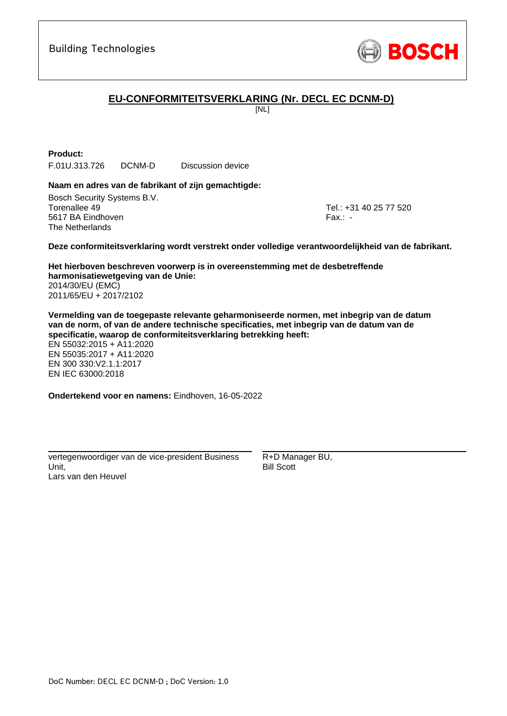

# **EU-CONFORMITEITSVERKLARING (Nr. DECL EC DCNM-D)**

[NL]

**Product:**

F.01U.313.726 DCNM-D Discussion device

### **Naam en adres van de fabrikant of zijn gemachtigde:**

Bosch Security Systems B.V. Torenallee 49 Tel.: [+31 40 25 77 520](#page-0-0) 5617 BA Eindhoven Fax.: [-](#page-0-1) The Netherlands

\_\_\_\_\_\_\_\_\_\_\_\_\_\_\_\_\_\_\_\_\_\_\_\_\_\_\_\_\_\_\_\_\_\_\_\_\_\_\_\_\_\_\_

#### **Deze conformiteitsverklaring wordt verstrekt onder volledige verantwoordelijkheid van de fabrikant.**

**Het hierboven beschreven voorwerp is in overeenstemming met de desbetreffende harmonisatiewetgeving van de Unie[:](#page-0-2)** [2014/30/EU \(EMC\)](#page-0-2) [2011/65/EU + 2017/2102](#page-0-2)

**Vermelding van de toegepaste relevante geharmoniseerde normen, met inbegrip van de datum van de norm, of van de andere technische specificaties, met inbegrip van de datum van de specificatie, waarop de conformiteitsverklaring betrekking heeft:**

EN 55032:2015 + A11:2020 EN 55035:2017 + A11:2020 EN 300 330:V2.1.1:2017 [E](#page-0-4)[N](#page-0-5) [I](#page-0-6)[E](#page-0-7)C 63000:201[8](#page-0-3)

**Ondertekend voor en namens:** Eindhoven, 16-05-2022

vertegenwoordiger van de vice-president Business Unit, Lars van den Heuvel

\_\_\_\_\_\_\_\_\_\_\_\_\_\_\_\_\_\_\_\_\_\_\_\_\_\_\_\_\_\_\_\_\_\_\_\_\_\_\_\_\_\_\_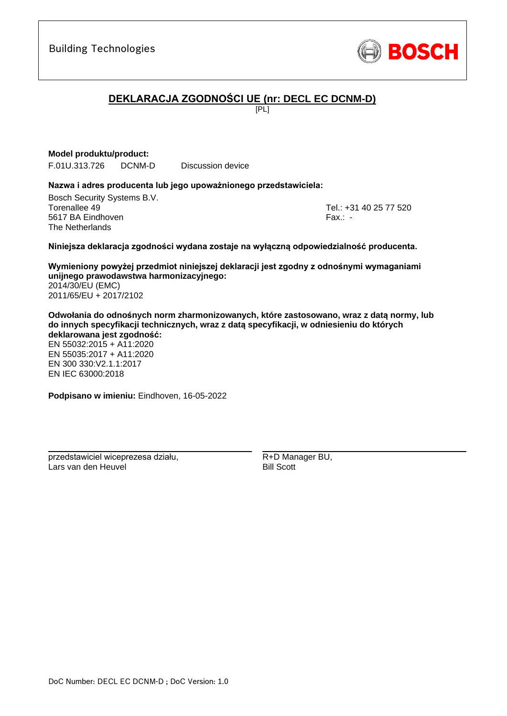

# **DEKLARACJA ZGODNOŚCI UE (nr: DECL EC DCNM-D)**

 $F$  $[PL]$ 

### **Model produktu/product:**

F.01U.313.726 DCNM-D Discussion device

### **Nazwa i adres producenta lub jego upoważnionego przedstawiciela:**

Bosch Security Systems B.V. Torenallee 49 Tel.: [+31 40 25 77 520](#page-0-0) 5617 BA Eindhoven Fax.: [-](#page-0-1) The Netherlands

\_\_\_\_\_\_\_\_\_\_\_\_\_\_\_\_\_\_\_\_\_\_\_\_\_\_\_\_\_\_\_\_\_\_\_\_\_\_\_\_\_\_\_

### **Niniejsza deklaracja zgodności wydana zostaje na wyłączną odpowiedzialność producenta.**

**Wymieniony powyżej przedmiot niniejszej deklaracji jest zgodny z odnośnymi wymaganiami unijnego prawodawstwa harmonizacyjnego[:](#page-0-2)** [2014/30/EU \(EMC\)](#page-0-2) [2011/65/EU + 2017/2102](#page-0-2)

**Odwołania do odnośnych norm zharmonizowanych, które zastosowano, wraz z datą normy, lub do innych specyfikacji technicznych, wraz z datą specyfikacji, w odniesieniu do których deklarowana jest zgodność:**

EN 55032:2015 + A11:2020 EN 55035:2017 + A11:2020 EN 300 330:V2.1.1:2017 [E](#page-0-4)[N](#page-0-5) [I](#page-0-6)[E](#page-0-7)C 63000:201[8](#page-0-3)

**Podpisano w imieniu:** Eindhoven, 16-05-2022

\_\_\_\_\_\_\_\_\_\_\_\_\_\_\_\_\_\_\_\_\_\_\_\_\_\_\_\_\_\_\_\_\_\_\_\_\_\_\_\_\_\_\_

przedstawiciel wiceprezesa działu, Lars van den Heuvel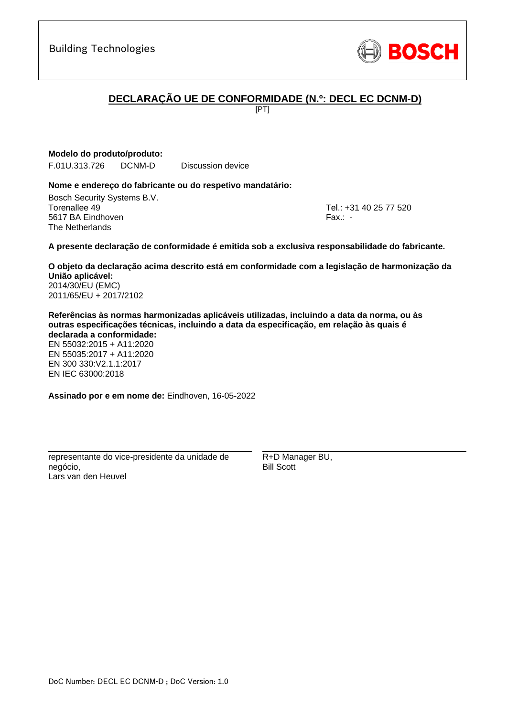# **DECLARAÇÃO UE DE CONFORMIDADE (N.º: DECL EC DCNM-D)**

[PT]

**Modelo do produto/produto:**

F.01U.313.726 DCNM-D Discussion device

### **Nome e endereço do fabricante ou do respetivo mandatário:**

Bosch Security Systems B.V. Torenallee 49 Tel.: [+31 40 25 77 520](#page-0-0) 5617 BA Eindhoven Fax.: [-](#page-0-1) The Netherlands

\_\_\_\_\_\_\_\_\_\_\_\_\_\_\_\_\_\_\_\_\_\_\_\_\_\_\_\_\_\_\_\_\_\_\_\_\_\_\_\_\_\_\_

#### **A presente declaração de conformidade é emitida sob a exclusiva responsabilidade do fabricante.**

**O objeto da declaração acima descrito está em conformidade com a legislação de harmonização da União aplicável[:](#page-0-2)** [2014/30/EU \(EMC\)](#page-0-2)

[2011/65/EU + 2017/2102](#page-0-2)

**Referências às normas harmonizadas aplicáveis utilizadas, incluindo a data da norma, ou às outras especificações técnicas, incluindo a data da especificação, em relação às quais é declarada a conformidade:**

EN 55032:2015 + A11:2020 EN 55035:2017 + A11:2020 EN 300 330:V2.1.1:2017 [E](#page-0-4)[N](#page-0-5) [I](#page-0-6)[E](#page-0-7)C 63000:201[8](#page-0-3)

**Assinado por e em nome de:** Eindhoven, 16-05-2022

\_\_\_\_\_\_\_\_\_\_\_\_\_\_\_\_\_\_\_\_\_\_\_\_\_\_\_\_\_\_\_\_\_\_\_\_\_\_\_\_\_\_\_

representante do vice-presidente da unidade de negócio, Lars van den Heuvel

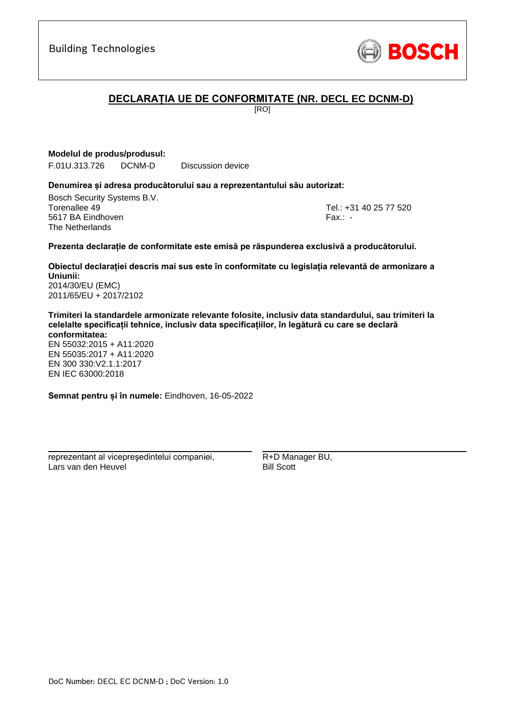

### **DECLARAȚIA UE DE CONFORMITATE (NR. DECL EC DCNM-D)**

[RO]

**Modelul de produs/produsul:**

F.01U.313.726 DCNM-D Discussion device

#### **Denumirea și adresa producătorului sau a reprezentantului său autorizat:**

Bosch Security Systems B.V. Torenallee 49 Tel.: [+31 40 25 77 520](#page-0-0) 5617 BA Eindhoven Fax.: [-](#page-0-1) The Netherlands

\_\_\_\_\_\_\_\_\_\_\_\_\_\_\_\_\_\_\_\_\_\_\_\_\_\_\_\_\_\_\_\_\_\_\_\_\_\_\_\_\_\_\_

#### **Prezenta declarație de conformitate este emisă pe răspunderea exclusivă a producătorului.**

**Obiectul declarației descris mai sus este în conformitate cu legislația relevantă de armonizare a Uniunii[:](#page-0-2)** [2014/30/EU \(EMC\)](#page-0-2)

[2011/65/EU + 2017/2102](#page-0-2)

**Trimiteri la standardele armonizate relevante folosite, inclusiv data standardului, sau trimiteri la celelalte specificații tehnice, inclusiv data specificațiilor, în legătură cu care se declară conformitatea:**

EN 55032:2015 + A11:2020 EN 55035:2017 + A11:2020 EN 300 330:V2.1.1:2017 [E](#page-0-4)[N](#page-0-5) [I](#page-0-6)[E](#page-0-7)C 63000:201[8](#page-0-3)

**Semnat pentru și în numele:** Eindhoven, 16-05-2022

\_\_\_\_\_\_\_\_\_\_\_\_\_\_\_\_\_\_\_\_\_\_\_\_\_\_\_\_\_\_\_\_\_\_\_\_\_\_\_\_\_\_\_

reprezentant al vicepreşedintelui companiei, Lars van den Heuvel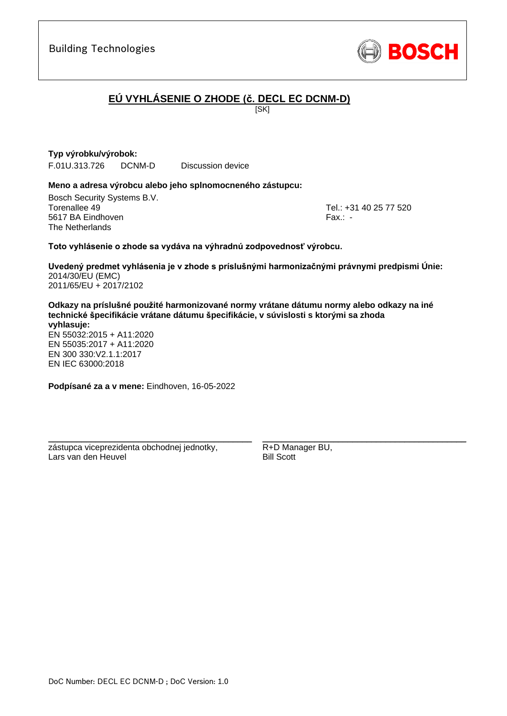

# **EÚ VYHLÁSENIE O ZHODE (č. DECL EC DCNM-D)**

**ISKI** 

**Typ výrobku/výrobok:** F.01U.313.726 DCNM-D Discussion device

### **Meno a adresa výrobcu alebo jeho splnomocneného zástupcu:**

Bosch Security Systems B.V. Torenallee 49 Tel.: [+31 40 25 77 520](#page-0-0) 5617 BA Eindhoven Fax.: [-](#page-0-1) The Netherlands

\_\_\_\_\_\_\_\_\_\_\_\_\_\_\_\_\_\_\_\_\_\_\_\_\_\_\_\_\_\_\_\_\_\_\_\_\_\_\_\_\_\_\_

### **Toto vyhlásenie o zhode sa vydáva na výhradnú zodpovednosť výrobcu.**

**Uvedený predmet vyhlásenia je v zhode s príslušnými harmonizačnými právnymi predpismi Únie[:](#page-0-2)** [2014/30/EU \(EMC\)](#page-0-2) [2011/65/EU + 2017/2102](#page-0-2)

**Odkazy na príslušné použité harmonizované normy vrátane dátumu normy alebo odkazy na iné technické špecifikácie vrátane dátumu špecifikácie, v súvislosti s ktorými sa zhoda vyhlasuje:**

EN 55032:2015 + A11:2020 EN 55035:2017 + A11:2020 EN 300 330:V2.1.1:[2](#page-0-8)[01](#page-0-9)7 EN IEC 63000:201[8](#page-0-3)

**Podpísané za a v mene:** Eindhoven, 16-05-2022

\_\_\_\_\_\_\_\_\_\_\_\_\_\_\_\_\_\_\_\_\_\_\_\_\_\_\_\_\_\_\_\_\_\_\_\_\_\_\_\_\_\_\_

zástupca viceprezidenta obchodnej jednotky, Lars van den Heuvel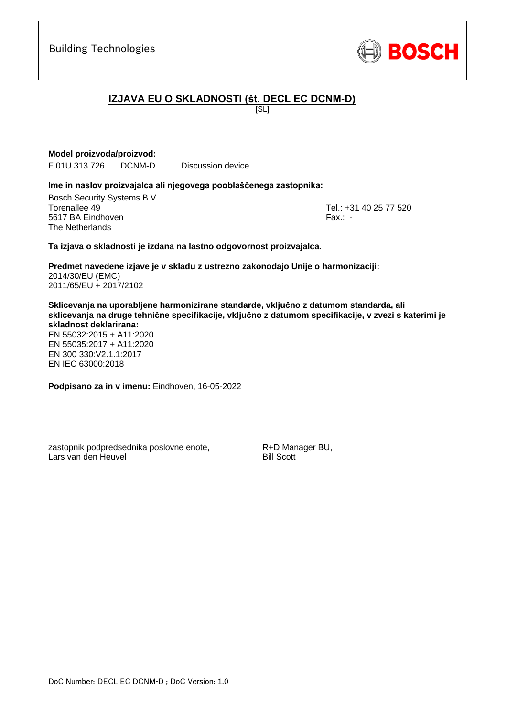

# **IZJAVA EU O SKLADNOSTI (št. DECL EC DCNM-D)**

[SL]

### **Model proizvoda/proizvod:**

F.01U.313.726 DCNM-D Discussion device

#### **Ime in naslov proizvajalca ali njegovega pooblaščenega zastopnika:**

Bosch Security Systems B.V. Torenallee 49 Tel.: [+31 40 25 77 520](#page-0-0) 5617 BA Eindhoven Fax.: [-](#page-0-1) The Netherlands

\_\_\_\_\_\_\_\_\_\_\_\_\_\_\_\_\_\_\_\_\_\_\_\_\_\_\_\_\_\_\_\_\_\_\_\_\_\_\_\_\_\_\_

#### **Ta izjava o skladnosti je izdana na lastno odgovornost proizvajalca.**

**Predmet navedene izjave je v skladu z ustrezno zakonodajo Unije o harmonizaciji[:](#page-0-2)** [2014/30/EU \(EMC\)](#page-0-2) [2011/65/EU + 2017/2102](#page-0-2)

**Sklicevanja na uporabljene harmonizirane standarde, vključno z datumom standarda, ali sklicevanja na druge tehnične specifikacije, vključno z datumom specifikacije, v zvezi s katerimi je skladnost deklarirana:**

EN 55032:2015 + A11:2020 EN 55035:2017 + A11:2020 EN 300 330:V2.1.1:[2](#page-0-8)[01](#page-0-9)7 EN IEC 63000:201[8](#page-0-3)

**Podpisano za in v imenu:** Eindhoven, 16-05-2022

\_\_\_\_\_\_\_\_\_\_\_\_\_\_\_\_\_\_\_\_\_\_\_\_\_\_\_\_\_\_\_\_\_\_\_\_\_\_\_\_\_\_\_

zastopnik podpredsednika poslovne enote, Lars van den Heuvel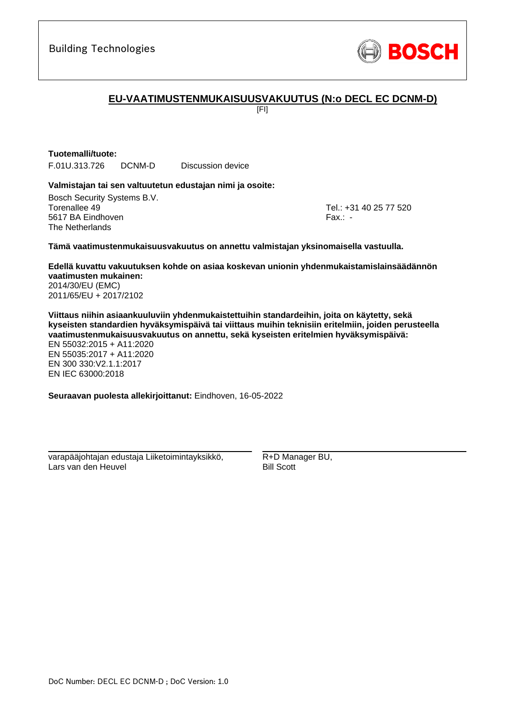

### **EU-VAATIMUSTENMUKAISUUSVAKUUTUS (N:o DECL EC DCNM-D)**

[FI]

### **Tuotemalli/tuote:**

F.01U.313.726 DCNM-D Discussion device

### **Valmistajan tai sen valtuutetun edustajan nimi ja osoite:**

Bosch Security Systems B.V. Torenallee 49 Tel.: [+31 40 25 77 520](#page-0-0) 5617 BA Eindhoven Fax.: [-](#page-0-1) The Netherlands

\_\_\_\_\_\_\_\_\_\_\_\_\_\_\_\_\_\_\_\_\_\_\_\_\_\_\_\_\_\_\_\_\_\_\_\_\_\_\_\_\_\_\_

#### **Tämä vaatimustenmukaisuusvakuutus on annettu valmistajan yksinomaisella vastuulla.**

**Edellä kuvattu vakuutuksen kohde on asiaa koskevan unionin yhdenmukaistamislainsäädännön vaatimusten mukainen[:](#page-0-2)** [2014/30/EU \(EMC\)](#page-0-2)

[2011/65/EU + 2017/2102](#page-0-2)

**Viittaus niihin asiaankuuluviin yhdenmukaistettuihin standardeihin, joita on käytetty, sekä kyseisten standardien hyväksymispäivä tai viittaus muihin teknisiin eritelmiin, joiden perusteella vaatimustenmukaisuusvakuutus on annettu, sekä kyseisten eritelmien hyväksymispäivä:**

EN 55032:2015 + A11:2020 EN 55035:2017 + A11:2020 EN 300 330:V2.1.1:2017 [E](#page-0-4)[N](#page-0-5) [I](#page-0-6)[E](#page-0-7)C 63000:201[8](#page-0-3)

**Seuraavan puolesta allekirjoittanut:** Eindhoven, 16-05-2022

varapääjohtajan edustaja Liiketoimintayksikkö, Lars van den Heuvel

\_\_\_\_\_\_\_\_\_\_\_\_\_\_\_\_\_\_\_\_\_\_\_\_\_\_\_\_\_\_\_\_\_\_\_\_\_\_\_\_\_\_\_